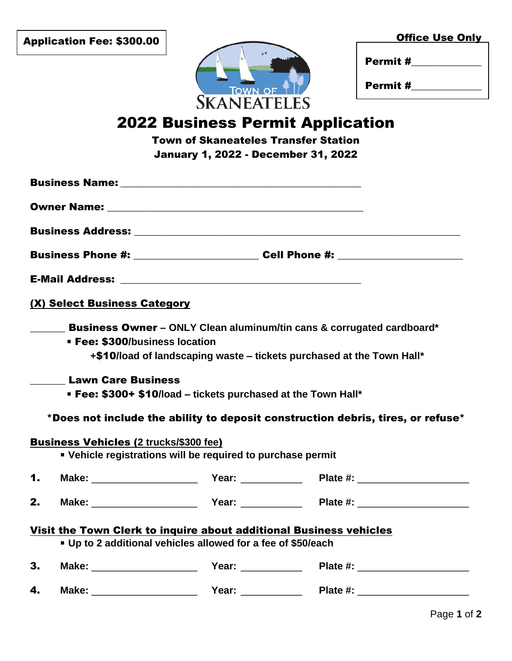| <b>Application Fee: \$300.00</b> |  |  |  |
|----------------------------------|--|--|--|
|----------------------------------|--|--|--|

\$60.00



|                    | <b>TOWN OF</b> |  |
|--------------------|----------------|--|
| <b>SKANEATELES</b> |                |  |

| Permit # |  |
|----------|--|
|          |  |

Permit #\_\_\_\_\_\_\_\_\_\_\_\_\_\_

## 2022 Business Permit Application

Town of Skaneateles Transfer Station January 1, 2022 - December 31, 2022

|    |                                                                                                                                                                                                                                                                                                                            | Business Phone #: _____________________________Cell Phone #: ___________________ |
|----|----------------------------------------------------------------------------------------------------------------------------------------------------------------------------------------------------------------------------------------------------------------------------------------------------------------------------|----------------------------------------------------------------------------------|
|    |                                                                                                                                                                                                                                                                                                                            |                                                                                  |
|    | (X) Select Business Category                                                                                                                                                                                                                                                                                               |                                                                                  |
|    | <b>Fee: \$300/business location</b><br>+\$10/load of landscaping waste – tickets purchased at the Town Hall*<br><b>Lawn Care Business</b><br>• Fee: \$300+ \$10/load – tickets purchased at the Town Hall*<br><b>Business Vehicles (2 trucks/\$300 fee)</b><br>• Vehicle registrations will be required to purchase permit | *Does not include the ability to deposit construction debris, tires, or refuse*  |
| 1. |                                                                                                                                                                                                                                                                                                                            |                                                                                  |
| 2. |                                                                                                                                                                                                                                                                                                                            |                                                                                  |
|    | Visit the Town Clerk to inquire about additional Business vehicles<br>• Up to 2 additional vehicles allowed for a fee of \$50/each                                                                                                                                                                                         |                                                                                  |
| 3. |                                                                                                                                                                                                                                                                                                                            |                                                                                  |
| 4. |                                                                                                                                                                                                                                                                                                                            |                                                                                  |